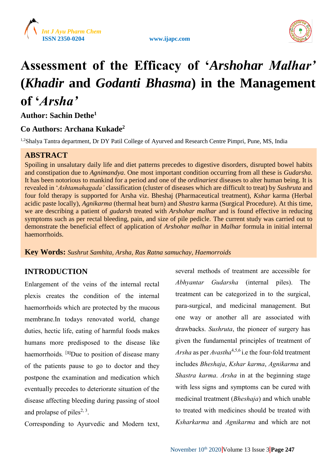





# **Assessment of the Efficacy of '***Arshohar Malhar'* **(***Khadir* **and** *Godanti Bhasma***) in the Management of '***Arsha'*

**Author: Sachin Dethe<sup>1</sup>**

# **Co Authors: Archana Kukade<sup>2</sup>**

<sup>1,2</sup>Shalya Tantra department, Dr DY Patil College of Ayurved and Research Centre Pimpri, Pune, MS, India

# **ABSTRACT**

Spoiling in unsalutary daily life and diet patterns precedes to digestive disorders, disrupted bowel habits and constipation due to *Agnimandya*. One most important condition occurring from all these is *Gudarsha*. It has been notorious to mankind for a period and one of the *ordinariest* diseases to alter human being. It is revealed in '*Ashtamahagada'* classification (cluster of diseases which are difficult to treat) by *Sushruta* and four fold therapy is supported for Arsha viz. Bheshaj (Pharmaceutical treatment), *Kshar* karma (Herbal acidic paste locally), *Agnikarma* (thermal heat burn) and *Shastra* karma (Surgical Procedure). At this time, we are describing a patient of *gudarsh* treated with *Arshohar malhar* and is found effective in reducing symptoms such as per rectal bleeding, pain, and size of pile pedicle. The current study was carried out to demonstrate the beneficial effect of application of *Arshohar malhar* in *Malhar* formula in initial internal haemorrhoids.

**Key Words:** *Sushrut Samhita, Arsha, Ras Ratna samuchay, Haemorroids*

# **INTRODUCTION**

Enlargement of the veins of the internal rectal plexis creates the condition of the internal haemorrhoids which are protected by the mucous membrane.In todays renovated world, change duties, hectic life, eating of harmful foods makes humans more predisposed to the disease like haemorrhoids*.*  [**1]**Due to position of disease many of the patients pause to go to doctor and they postpone the examination and medication which eventually precedes to deteriorate situation of the disease affecting bleeding during passing of stool and prolapse of piles<sup>2, 3</sup>.

Corresponding to Ayurvedic and Modern text,

several methods of treatment are accessible for *Abhyantar Gudarsha* (internal piles). The treatment can be categorized in to the surgical, para-surgical, and medicinal management. But one way or another all are associated with drawbacks. *Sushruta*, the pioneer of surgery has given the fundamental principles of treatment of *Arsha* as per *Avastha*4,5,6 i.e the four-fold treatment includes *Bheshaja*, *Kshar karma*, *Agnikarma* and *Shastra karma*. *Arsha* in at the beginning stage with less signs and symptoms can be cured with medicinal treatment (*Bheshaja*) and which unable to treated with medicines should be treated with *Ksharkarma* and *Agnikarma* and which are not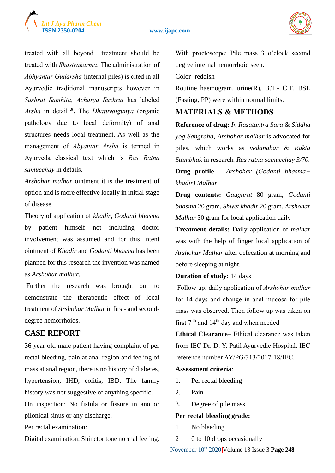# *Int J Ayu Pharm Chem*

#### **ISSN 2350-0204 www.ijapc.com**



treated with all beyond treatment should be treated with *Shastrakarma*. The administration of *Abhyantar Gudarsha* (internal piles) is cited in all Ayurvedic traditional manuscripts however in *Sushrut Samhita*, *Acharya Sushrut* has labeled *Arsha* in detail7,8 **.** The *Dhatuvaigunya* (organic pathology due to local deformity) of anal structures needs local treatment. As well as the management of *Abyantar Arsha* is termed in Ayurveda classical text which is *Ras Ratna samucchay* in details.

*Arshohar malhar* ointment it is the treatment of option and is more effective locally in initial stage of disease.

Theory of application of *khadir*, *Godanti bhasma* by patient himself not including doctor involvement was assumed and for this intent ointment of *Khadir* and *Godanti bhasma* has been planned for this research the invention was named as *Arshohar malhar*.

Further the research was brought out to demonstrate the therapeutic effect of local treatment of *Arshohar Malhar*in first- and seconddegree hemorrhoids.

## **CASE REPORT**

36 year old male patient having complaint of per rectal bleeding, pain at anal region and feeling of mass at anal region, there is no history of diabetes, hypertension, IHD, colitis, IBD. The family history was not suggestive of anything specific.

On inspection: No fistula or fissure in ano or pilonidal sinus or any discharge.

Per rectal examination:

Digital examination: Shinctor tone normal feeling.

With proctoscope: Pile mass 3 o'clock second degree internal hemorrhoid seen.

Color -reddish

Routine haemogram, urine(R), B.T.- C.T, BSL (Fasting, PP) were within normal limits.

# **MATERIALS & METHODS**

**Reference of drug:** *In Rasatantra Sara* & *Siddha yog Sangraha, Arshohar malhar* is advocated for piles, which works as *vedanahar* & *Rakta Stambhak* in research. *Ras ratna samucchay 3/70.* **Drug profile –** *Arshohar (Godanti bhasma+ khadir) Malhar*

**Drug contents:** *Gaughrut* 80 gram, *Godanti bhasma* 20 gram, *Shwet khadir* 20 gram. *Arshohar Malhar* 30 gram for local application daily

**Treatment details:** Daily application of *malhar* was with the help of finger local application of *Arshohar Malhar* after defecation at morning and before sleeping at night.

#### **Duration of study:** 14 days

Follow up: daily application of *Arshohar malhar* for 14 days and change in anal mucosa for pile mass was observed. Then follow up was taken on first  $7<sup>th</sup>$  and  $14<sup>th</sup>$  day and when needed

**Ethical Clearance–** Ethical clearance was taken from IEC Dr. D. Y. Patil Ayurvedic Hospital. IEC reference number AY/PG/313/2017-18/IEC.

#### **Assessment criteria**:

- 1. Per rectal bleeding
- 2. Pain
- 3. Degree of pile mass

#### **Per rectal bleeding grade:**

- 1 No bleeding
- 2 0 to 10 drops occasionally

November 10<sup>th</sup> 2020 Volume 13 Issue 3 **Page 248**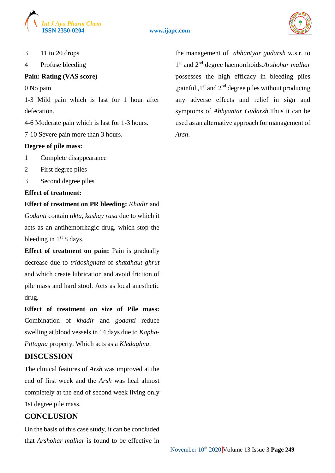

#### **ISSN 2350-0204 www.ijapc.com**



3 11 to 20 drops

4 Profuse bleeding

#### **Pain: Rating (VAS score)**

0 No pain

1-3 Mild pain which is last for 1 hour after defecation.

4-6 Moderate pain which is last for 1-3 hours.

7-10 Severe pain more than 3 hours.

#### **Degree of pile mass:**

- 1 Complete disappearance
- 2 First degree piles
- 3 Second degree piles

#### **Effect of treatment:**

**Effect of treatment on PR bleeding:** *Khadir* and *Godanti* contain *tikta, kashay rasa* due to which it acts as an antihemorrhagic drug. which stop the bleeding in  $1<sup>st</sup> 8$  days.

**Effect of treatment on pain:** Pain is gradually decrease due to *tridoshgnata* of *shatdhaut ghrut* and which create lubrication and avoid friction of pile mass and hard stool. Acts as local anesthetic drug.

**Effect of treatment on size of Pile mass:** Combination of *khadir* and *godanti* reduce swelling at blood vessels in 14 days due to *Kapha*-*Pittagna* property. Which acts as a *Kledaghna*.

## **DISCUSSION**

The clinical features of *Arsh* was improved at the end of first week and the *Arsh* was heal almost completely at the end of second week living only 1st degree pile mass.

# **CONCLUSION**

On the basis of this case study, it can be concluded that *Arshohar malhar* is found to be effective in the management of *abhantyar gudarsh* w.s.r. to 1 st and 2nd degree haemorrhoids.*Arshohar malhar* possesses the high efficacy in bleeding piles , painful  $,1<sup>st</sup>$  and  $2<sup>nd</sup>$  degree piles without producing any adverse effects and relief in sign and symptoms of *Abhyantar Gudarsh*.Thus it can be used as an alternative approach for management of *Arsh*.